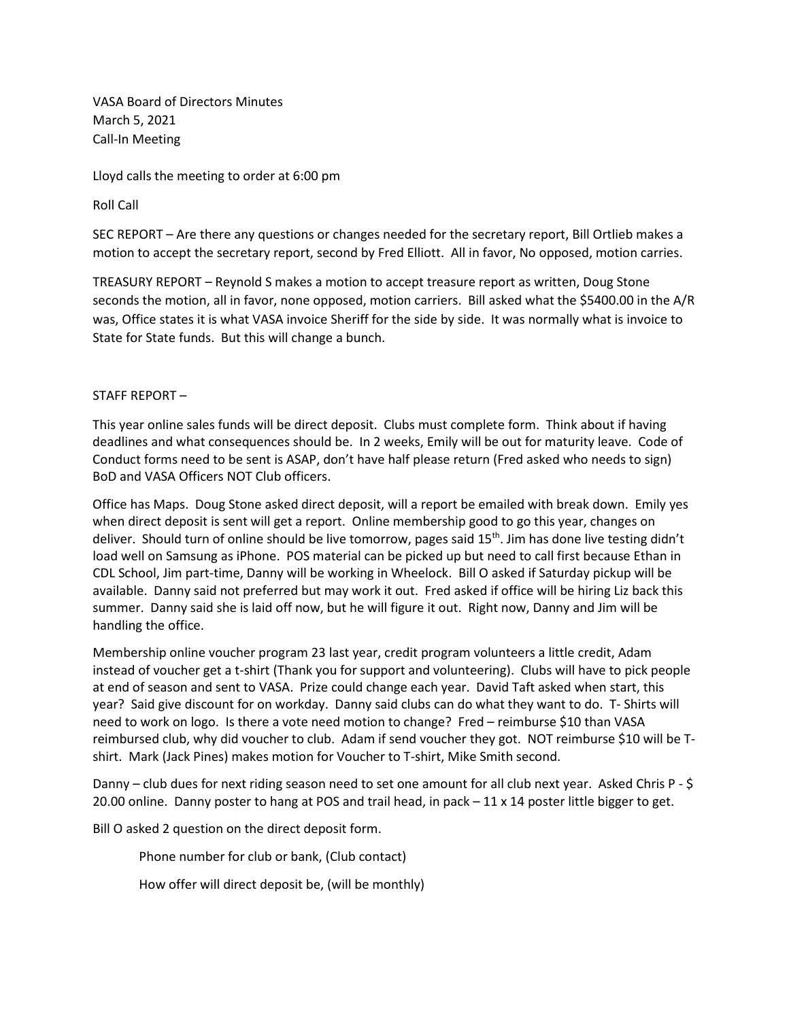VASA Board of Directors Minutes March 5, 2021 Call-In Meeting

Lloyd calls the meeting to order at 6:00 pm

Roll Call

SEC REPORT – Are there any questions or changes needed for the secretary report, Bill Ortlieb makes a motion to accept the secretary report, second by Fred Elliott. All in favor, No opposed, motion carries.

TREASURY REPORT – Reynold S makes a motion to accept treasure report as written, Doug Stone seconds the motion, all in favor, none opposed, motion carriers. Bill asked what the \$5400.00 in the A/R was, Office states it is what VASA invoice Sheriff for the side by side. It was normally what is invoice to State for State funds. But this will change a bunch.

## STAFF REPORT –

This year online sales funds will be direct deposit. Clubs must complete form. Think about if having deadlines and what consequences should be. In 2 weeks, Emily will be out for maturity leave. Code of Conduct forms need to be sent is ASAP, don't have half please return (Fred asked who needs to sign) BoD and VASA Officers NOT Club officers.

Office has Maps. Doug Stone asked direct deposit, will a report be emailed with break down. Emily yes when direct deposit is sent will get a report. Online membership good to go this year, changes on deliver. Should turn of online should be live tomorrow, pages said 15<sup>th</sup>. Jim has done live testing didn't load well on Samsung as iPhone. POS material can be picked up but need to call first because Ethan in CDL School, Jim part-time, Danny will be working in Wheelock. Bill O asked if Saturday pickup will be available. Danny said not preferred but may work it out. Fred asked if office will be hiring Liz back this summer. Danny said she is laid off now, but he will figure it out. Right now, Danny and Jim will be handling the office.

Membership online voucher program 23 last year, credit program volunteers a little credit, Adam instead of voucher get a t-shirt (Thank you for support and volunteering). Clubs will have to pick people at end of season and sent to VASA. Prize could change each year. David Taft asked when start, this year? Said give discount for on workday. Danny said clubs can do what they want to do. T- Shirts will need to work on logo. Is there a vote need motion to change? Fred – reimburse \$10 than VASA reimbursed club, why did voucher to club. Adam if send voucher they got. NOT reimburse \$10 will be Tshirt. Mark (Jack Pines) makes motion for Voucher to T-shirt, Mike Smith second.

Danny – club dues for next riding season need to set one amount for all club next year. Asked Chris P - \$ 20.00 online. Danny poster to hang at POS and trail head, in pack – 11 x 14 poster little bigger to get.

Bill O asked 2 question on the direct deposit form.

Phone number for club or bank, (Club contact)

How offer will direct deposit be, (will be monthly)